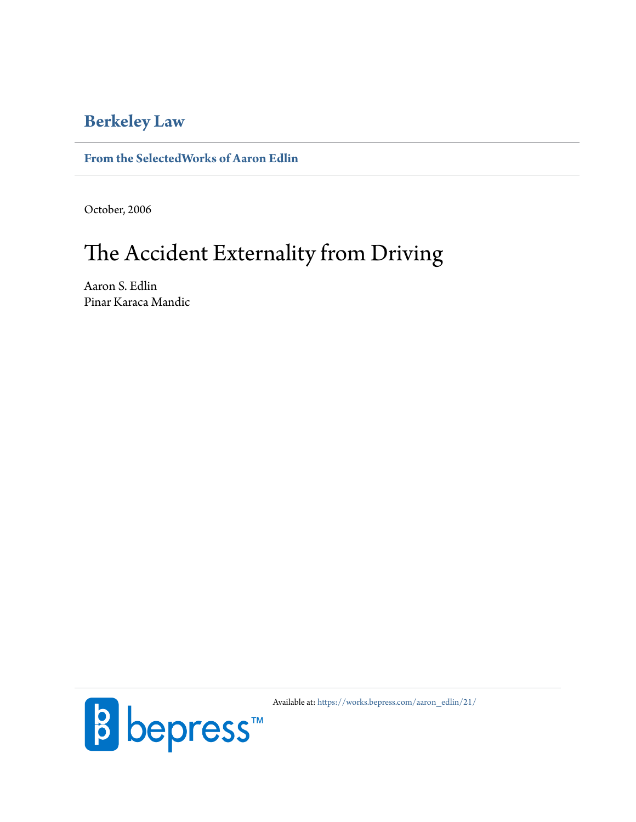# **[Berkeley Law](https://www.law.berkeley.edu/)**

# **[From the SelectedWorks of Aaron Edlin](https://works.bepress.com/aaron_edlin/)**

October, 2006

# The Accident Externality from Driving

Aaron S. Edlin Pinar Karaca Mandic



Available at: [https://works.bepress.com/aaron\\_edlin/21/](https://works.bepress.com/aaron_edlin/21/)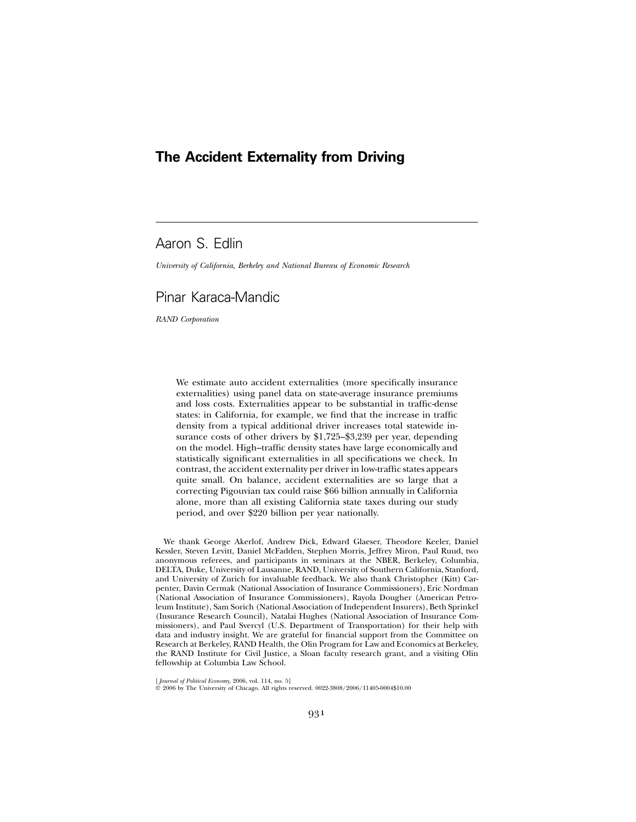# **The Accident Externality from Driving**

# Aaron S. Edlin

*University of California, Berkeley and National Bureau of Economic Research*

# Pinar Karaca-Mandic

*RAND Corporation*

We estimate auto accident externalities (more specifically insurance externalities) using panel data on state-average insurance premiums and loss costs. Externalities appear to be substantial in traffic-dense states: in California, for example, we find that the increase in traffic density from a typical additional driver increases total statewide insurance costs of other drivers by \$1,725–\$3,239 per year, depending on the model. High–traffic density states have large economically and statistically significant externalities in all specifications we check. In contrast, the accident externality per driver in low-traffic states appears quite small. On balance, accident externalities are so large that a correcting Pigouvian tax could raise \$66 billion annually in California alone, more than all existing California state taxes during our study period, and over \$220 billion per year nationally.

We thank George Akerlof, Andrew Dick, Edward Glaeser, Theodore Keeler, Daniel Kessler, Steven Levitt, Daniel McFadden, Stephen Morris, Jeffrey Miron, Paul Ruud, two anonymous referees, and participants in seminars at the NBER, Berkeley, Columbia, DELTA, Duke, University of Lausanne, RAND, University of Southern California, Stanford, and University of Zurich for invaluable feedback. We also thank Christopher (Kitt) Carpenter, Davin Cermak (National Association of Insurance Commissioners), Eric Nordman (National Association of Insurance Commissioners), Rayola Dougher (American Petroleum Institute), Sam Sorich (National Association of Independent Insurers), Beth Sprinkel (Insurance Research Council), Natalai Hughes (National Association of Insurance Commissioners), and Paul Svercyl (U.S. Department of Transportation) for their help with data and industry insight. We are grateful for financial support from the Committee on Research at Berkeley, RAND Health, the Olin Program for Law and Economics at Berkeley, the RAND Institute for Civil Justice, a Sloan faculty research grant, and a visiting Olin fellowship at Columbia Law School.

[*Journal of Political Economy,* 2006, vol. 114, no. 5]<br>© 2006 by The University of Chicago. All rights reserved. 0022-3808/2006/11405-0004\$10.00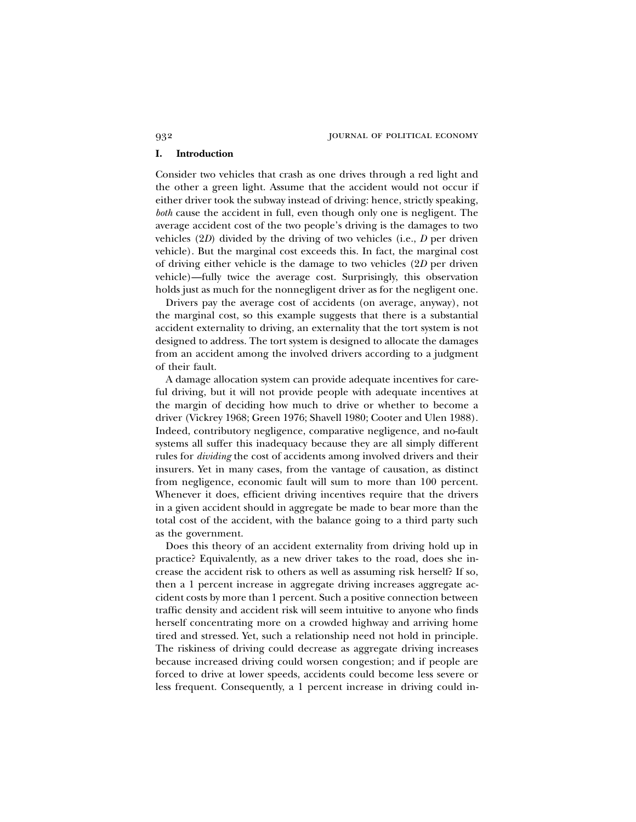932 journal of political economy

### **I. Introduction**

Consider two vehicles that crash as one drives through a red light and the other a green light. Assume that the accident would not occur if either driver took the subway instead of driving: hence, strictly speaking, *both* cause the accident in full, even though only one is negligent. The average accident cost of the two people's driving is the damages to two vehicles (2*D*) divided by the driving of two vehicles (i.e., *D* per driven vehicle). But the marginal cost exceeds this. In fact, the marginal cost of driving either vehicle is the damage to two vehicles (2*D* per driven vehicle)—fully twice the average cost. Surprisingly, this observation holds just as much for the nonnegligent driver as for the negligent one.

Drivers pay the average cost of accidents (on average, anyway), not the marginal cost, so this example suggests that there is a substantial accident externality to driving, an externality that the tort system is not designed to address. The tort system is designed to allocate the damages from an accident among the involved drivers according to a judgment of their fault.

A damage allocation system can provide adequate incentives for careful driving, but it will not provide people with adequate incentives at the margin of deciding how much to drive or whether to become a driver (Vickrey 1968; Green 1976; Shavell 1980; Cooter and Ulen 1988). Indeed, contributory negligence, comparative negligence, and no-fault systems all suffer this inadequacy because they are all simply different rules for *dividing* the cost of accidents among involved drivers and their insurers. Yet in many cases, from the vantage of causation, as distinct from negligence, economic fault will sum to more than 100 percent. Whenever it does, efficient driving incentives require that the drivers in a given accident should in aggregate be made to bear more than the total cost of the accident, with the balance going to a third party such as the government.

Does this theory of an accident externality from driving hold up in practice? Equivalently, as a new driver takes to the road, does she increase the accident risk to others as well as assuming risk herself? If so, then a 1 percent increase in aggregate driving increases aggregate accident costs by more than 1 percent. Such a positive connection between traffic density and accident risk will seem intuitive to anyone who finds herself concentrating more on a crowded highway and arriving home tired and stressed. Yet, such a relationship need not hold in principle. The riskiness of driving could decrease as aggregate driving increases because increased driving could worsen congestion; and if people are forced to drive at lower speeds, accidents could become less severe or less frequent. Consequently, a 1 percent increase in driving could in-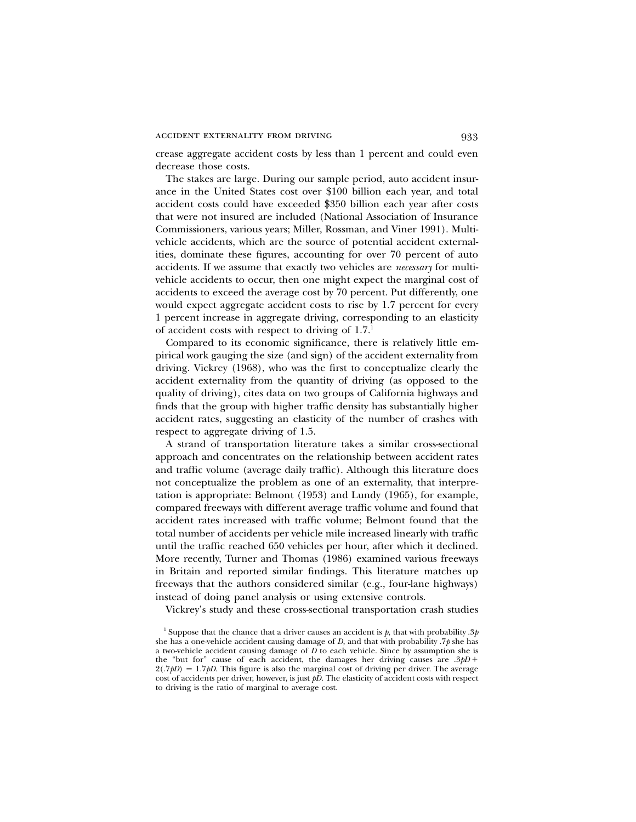crease aggregate accident costs by less than 1 percent and could even decrease those costs.

The stakes are large. During our sample period, auto accident insurance in the United States cost over \$100 billion each year, and total accident costs could have exceeded \$350 billion each year after costs that were not insured are included (National Association of Insurance Commissioners, various years; Miller, Rossman, and Viner 1991). Multivehicle accidents, which are the source of potential accident externalities, dominate these figures, accounting for over 70 percent of auto accidents. If we assume that exactly two vehicles are *necessary* for multivehicle accidents to occur, then one might expect the marginal cost of accidents to exceed the average cost by 70 percent. Put differently, one would expect aggregate accident costs to rise by 1.7 percent for every 1 percent increase in aggregate driving, corresponding to an elasticity of accident costs with respect to driving of  $1.7<sup>1</sup>$ 

Compared to its economic significance, there is relatively little empirical work gauging the size (and sign) of the accident externality from driving. Vickrey (1968), who was the first to conceptualize clearly the accident externality from the quantity of driving (as opposed to the quality of driving), cites data on two groups of California highways and finds that the group with higher traffic density has substantially higher accident rates, suggesting an elasticity of the number of crashes with respect to aggregate driving of 1.5.

A strand of transportation literature takes a similar cross-sectional approach and concentrates on the relationship between accident rates and traffic volume (average daily traffic). Although this literature does not conceptualize the problem as one of an externality, that interpretation is appropriate: Belmont (1953) and Lundy (1965), for example, compared freeways with different average traffic volume and found that accident rates increased with traffic volume; Belmont found that the total number of accidents per vehicle mile increased linearly with traffic until the traffic reached 650 vehicles per hour, after which it declined. More recently, Turner and Thomas (1986) examined various freeways in Britain and reported similar findings. This literature matches up freeways that the authors considered similar (e.g., four-lane highways) instead of doing panel analysis or using extensive controls.

Vickrey's study and these cross-sectional transportation crash studies

<sup>&</sup>lt;sup>1</sup> Suppose that the chance that a driver causes an accident is  $p$ , that with probability .3 $p$ she has a one-vehicle accident causing damage of *D*, and that with probability .7*p* she has a two-vehicle accident causing damage of *D* to each vehicle. Since by assumption she is the "but for" cause of each accident, the damages her driving causes are  $.3pD +$  $2(.7pD) = 1.7pD$ . This figure is also the marginal cost of driving per driver. The average cost of accidents per driver, however, is just *pD*. The elasticity of accident costs with respect to driving is the ratio of marginal to average cost.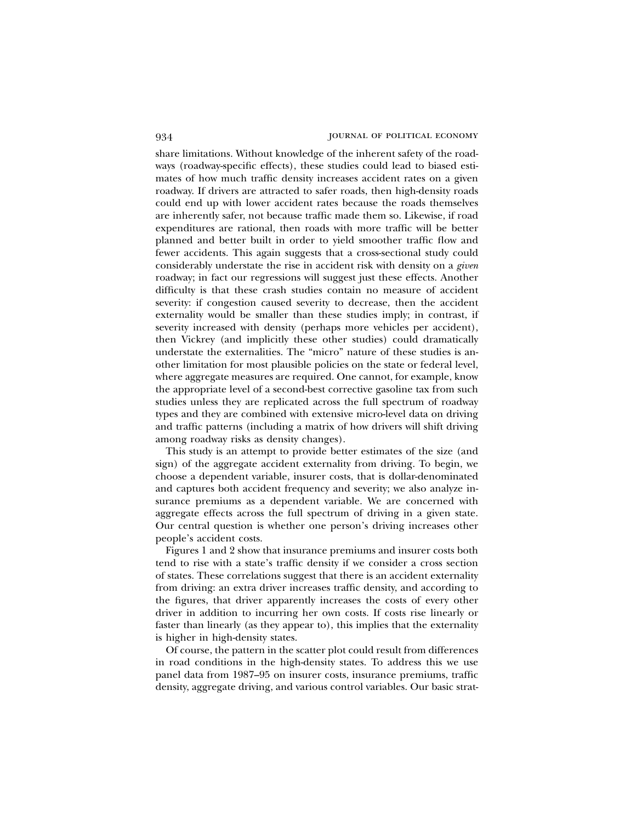share limitations. Without knowledge of the inherent safety of the roadways (roadway-specific effects), these studies could lead to biased estimates of how much traffic density increases accident rates on a given roadway. If drivers are attracted to safer roads, then high-density roads could end up with lower accident rates because the roads themselves are inherently safer, not because traffic made them so. Likewise, if road expenditures are rational, then roads with more traffic will be better planned and better built in order to yield smoother traffic flow and fewer accidents. This again suggests that a cross-sectional study could considerably understate the rise in accident risk with density on a *given* roadway; in fact our regressions will suggest just these effects. Another difficulty is that these crash studies contain no measure of accident severity: if congestion caused severity to decrease, then the accident externality would be smaller than these studies imply; in contrast, if severity increased with density (perhaps more vehicles per accident), then Vickrey (and implicitly these other studies) could dramatically understate the externalities. The "micro" nature of these studies is another limitation for most plausible policies on the state or federal level, where aggregate measures are required. One cannot, for example, know the appropriate level of a second-best corrective gasoline tax from such studies unless they are replicated across the full spectrum of roadway types and they are combined with extensive micro-level data on driving and traffic patterns (including a matrix of how drivers will shift driving among roadway risks as density changes).

This study is an attempt to provide better estimates of the size (and sign) of the aggregate accident externality from driving. To begin, we choose a dependent variable, insurer costs, that is dollar-denominated and captures both accident frequency and severity; we also analyze insurance premiums as a dependent variable. We are concerned with aggregate effects across the full spectrum of driving in a given state. Our central question is whether one person's driving increases other people's accident costs.

Figures 1 and 2 show that insurance premiums and insurer costs both tend to rise with a state's traffic density if we consider a cross section of states. These correlations suggest that there is an accident externality from driving: an extra driver increases traffic density, and according to the figures, that driver apparently increases the costs of every other driver in addition to incurring her own costs. If costs rise linearly or faster than linearly (as they appear to), this implies that the externality is higher in high-density states.

Of course, the pattern in the scatter plot could result from differences in road conditions in the high-density states. To address this we use panel data from 1987–95 on insurer costs, insurance premiums, traffic density, aggregate driving, and various control variables. Our basic strat-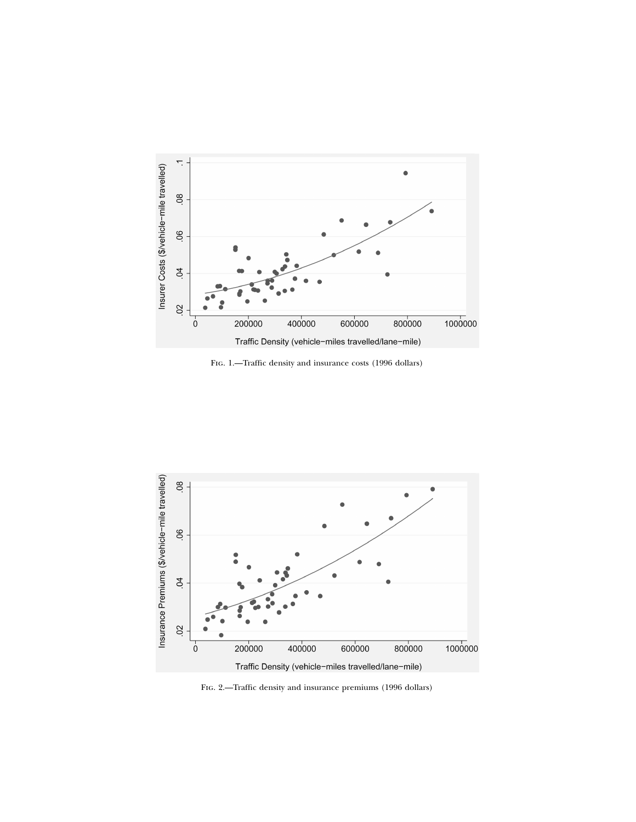

Fig. 1.—Traffic density and insurance costs (1996 dollars)



FIG. 2.—Traffic density and insurance premiums (1996 dollars)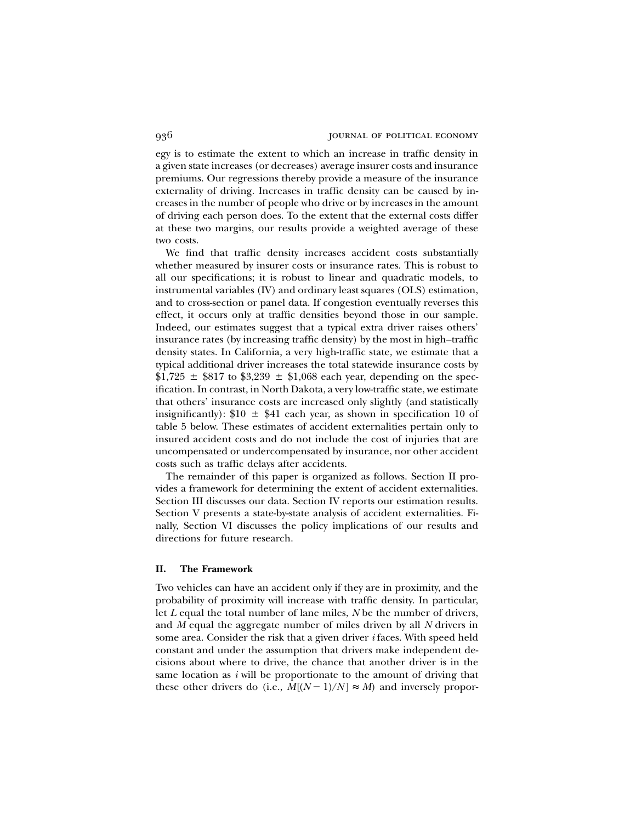egy is to estimate the extent to which an increase in traffic density in a given state increases (or decreases) average insurer costs and insurance premiums. Our regressions thereby provide a measure of the insurance externality of driving. Increases in traffic density can be caused by increases in the number of people who drive or by increases in the amount of driving each person does. To the extent that the external costs differ at these two margins, our results provide a weighted average of these two costs.

We find that traffic density increases accident costs substantially whether measured by insurer costs or insurance rates. This is robust to all our specifications; it is robust to linear and quadratic models, to instrumental variables (IV) and ordinary least squares (OLS) estimation, and to cross-section or panel data. If congestion eventually reverses this effect, it occurs only at traffic densities beyond those in our sample. Indeed, our estimates suggest that a typical extra driver raises others' insurance rates (by increasing traffic density) by the most in high–traffic density states. In California, a very high-traffic state, we estimate that a typical additional driver increases the total statewide insurance costs by \$1,725  $\pm$  \$817 to \$3,239  $\pm$  \$1,068 each year, depending on the specification. In contrast, in North Dakota, a very low-traffic state, we estimate that others' insurance costs are increased only slightly (and statistically insignificantly):  $$10 \pm $41$  each year, as shown in specification 10 of table 5 below. These estimates of accident externalities pertain only to insured accident costs and do not include the cost of injuries that are uncompensated or undercompensated by insurance, nor other accident costs such as traffic delays after accidents.

The remainder of this paper is organized as follows. Section II provides a framework for determining the extent of accident externalities. Section III discusses our data. Section IV reports our estimation results. Section V presents a state-by-state analysis of accident externalities. Finally, Section VI discusses the policy implications of our results and directions for future research.

### **II. The Framework**

Two vehicles can have an accident only if they are in proximity, and the probability of proximity will increase with traffic density. In particular, let *L* equal the total number of lane miles, *N* be the number of drivers, and *M* equal the aggregate number of miles driven by all *N* drivers in some area. Consider the risk that a given driver *i* faces. With speed held constant and under the assumption that drivers make independent decisions about where to drive, the chance that another driver is in the same location as *i* will be proportionate to the amount of driving that these other drivers do (i.e.,  $M[(N-1)/N] \approx M$ ) and inversely propor-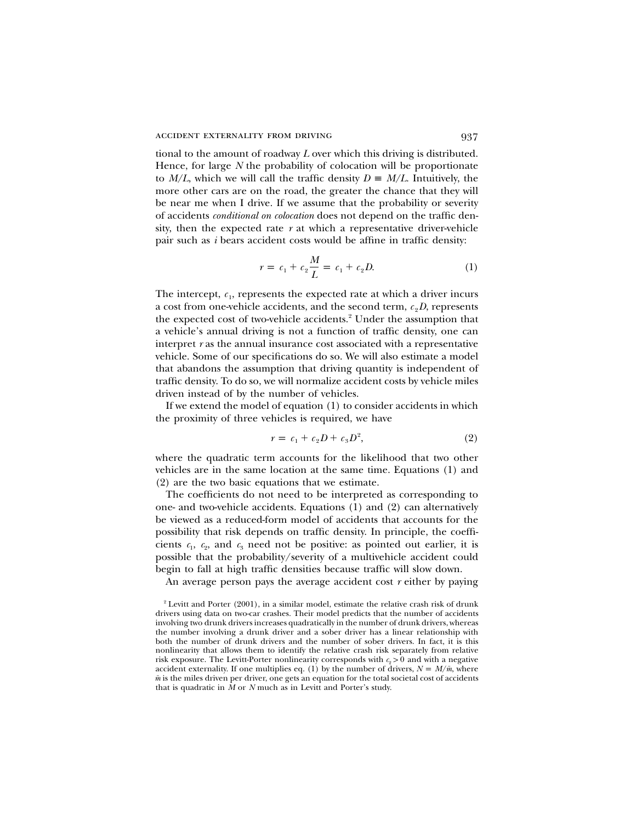tional to the amount of roadway *L* over which this driving is distributed. Hence, for large *N* the probability of colocation will be proportionate to  $M/L$ , which we will call the traffic density  $D \equiv M/L$ . Intuitively, the more other cars are on the road, the greater the chance that they will be near me when I drive. If we assume that the probability or severity of accidents *conditional on colocation* does not depend on the traffic density, then the expected rate *r* at which a representative driver-vehicle pair such as *i* bears accident costs would be affine in traffic density:

$$
r = c_1 + c_2 \frac{M}{L} = c_1 + c_2 D. \tag{1}
$$

The intercept,  $c_1$ , represents the expected rate at which a driver incurs a cost from one-vehicle accidents, and the second term,  $c_2D$ , represents the expected cost of two-vehicle accidents.<sup>2</sup> Under the assumption that a vehicle's annual driving is not a function of traffic density, one can interpret *r* as the annual insurance cost associated with a representative vehicle. Some of our specifications do so. We will also estimate a model that abandons the assumption that driving quantity is independent of traffic density. To do so, we will normalize accident costs by vehicle miles driven instead of by the number of vehicles.

If we extend the model of equation (1) to consider accidents in which the proximity of three vehicles is required, we have

$$
r = c_1 + c_2 D + c_3 D^2,
$$
 (2)

where the quadratic term accounts for the likelihood that two other vehicles are in the same location at the same time. Equations (1) and (2) are the two basic equations that we estimate.

The coefficients do not need to be interpreted as corresponding to one- and two-vehicle accidents. Equations (1) and (2) can alternatively be viewed as a reduced-form model of accidents that accounts for the possibility that risk depends on traffic density. In principle, the coefficients  $c_1$ ,  $c_2$ , and  $c_3$  need not be positive: as pointed out earlier, it is possible that the probability/severity of a multivehicle accident could begin to fall at high traffic densities because traffic will slow down.

An average person pays the average accident cost *r* either by paying

 $2$  Levitt and Porter (2001), in a similar model, estimate the relative crash risk of drunk drivers using data on two-car crashes. Their model predicts that the number of accidents involving two drunk drivers increases quadratically in the number of drunk drivers, whereas the number involving a drunk driver and a sober driver has a linear relationship with both the number of drunk drivers and the number of sober drivers. In fact, it is this nonlinearity that allows them to identify the relative crash risk separately from relative risk exposure. The Levitt-Porter nonlinearity corresponds with  $c_2 > 0$  and with a negative accident externality. If one multiplies eq. (1) by the number of drivers,  $N = M/\bar{m}$ , where  $\bar{m}$  is the miles driven per driver, one gets an equation for the total societal cost of accidents that is quadratic in *M* or *N* much as in Levitt and Porter's study.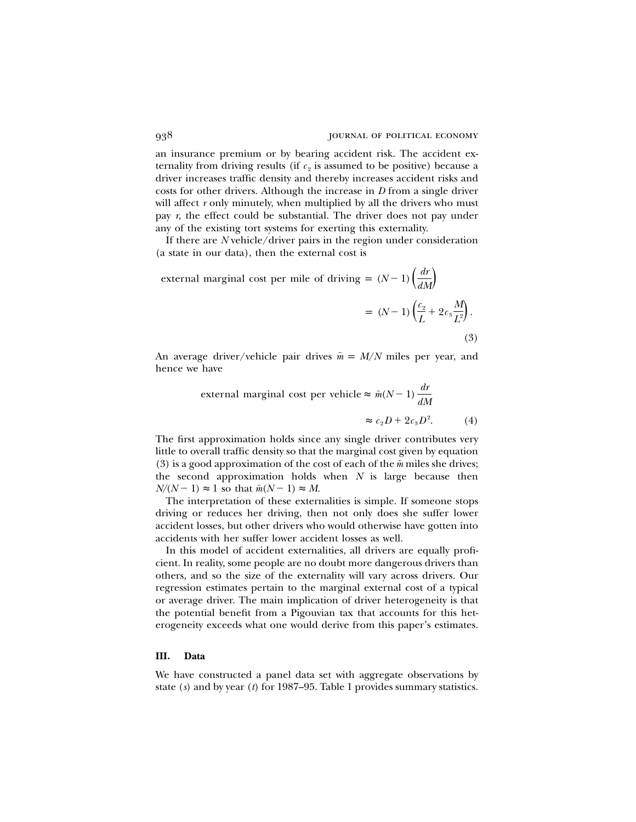an insurance premium or by bearing accident risk. The accident externality from driving results (if  $c_2$  is assumed to be positive) because a driver increases traffic density and thereby increases accident risks and costs for other drivers. Although the increase in *D* from a single driver will affect *r* only minutely, when multiplied by all the drivers who must pay *r*, the effect could be substantial. The driver does not pay under any of the existing tort systems for exerting this externality.

If there are *N* vehicle/driver pairs in the region under consideration (a state in our data), then the external cost is

external marginal cost per mile of driving =  $(N-1) \left( \frac{dr}{dM} \right)$  $=(N-1)\left(\frac{c_2}{L}+2c_3\frac{M}{L^2}\right).$ (3)

An average driver/vehicle pair drives  $\bar{m} = M/N$  miles per year, and hence we have

external marginal cost per vehicle 
$$
\approx \bar{m}(N-1) \frac{dr}{dM}
$$
  
 $\approx c_2 D + 2c_3 D^2.$  (4)

The first approximation holds since any single driver contributes very little to overall traffic density so that the marginal cost given by equation (3) is a good approximation of the cost of each of the  $\bar{m}$  miles she drives; the second approximation holds when *N* is large because then  $N/(N-1) \approx 1$  so that  $\bar{m}(N-1) \approx M$ .

The interpretation of these externalities is simple. If someone stops driving or reduces her driving, then not only does she suffer lower accident losses, but other drivers who would otherwise have gotten into accidents with her suffer lower accident losses as well.

In this model of accident externalities, all drivers are equally proficient. In reality, some people are no doubt more dangerous drivers than others, and so the size of the externality will vary across drivers. Our regression estimates pertain to the marginal external cost of a typical or average driver. The main implication of driver heterogeneity is that the potential benefit from a Pigouvian tax that accounts for this heterogeneity exceeds what one would derive from this paper's estimates.

## **III. Data**

We have constructed a panel data set with aggregate observations by state (*s*) and by year (*t*) for 1987–95. Table 1 provides summary statistics.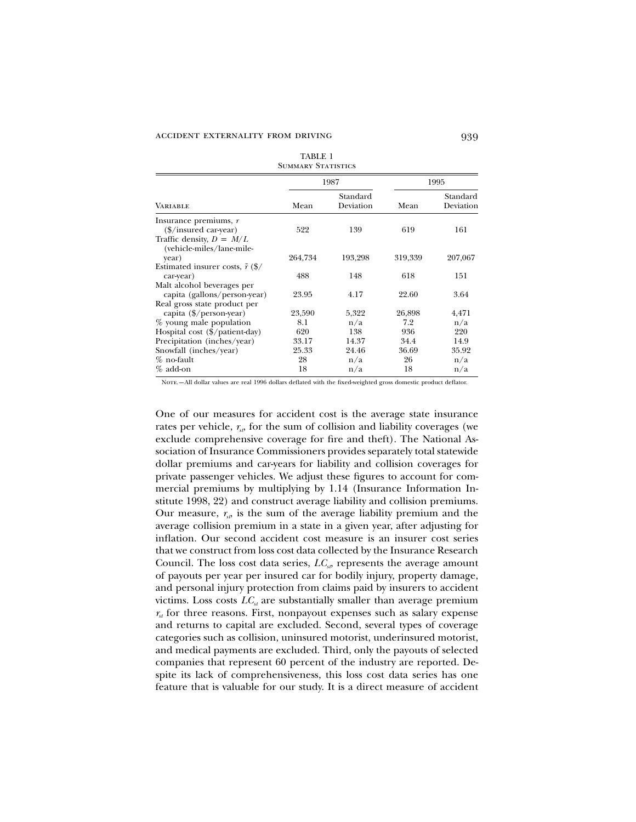| TABLE 1            |
|--------------------|
| Summary Statistics |

|                                                         |         | 1987                  |         | 1995                  |
|---------------------------------------------------------|---------|-----------------------|---------|-----------------------|
| <b>VARIABLE</b>                                         | Mean    | Standard<br>Deviation | Mean    | Standard<br>Deviation |
| Insurance premiums, $r$                                 |         |                       |         |                       |
| (\$/insured car-year)                                   | 522     | 139                   | 619     | 161                   |
| Traffic density, $D = M/L$<br>(vehicle-miles/lane-mile- |         |                       |         |                       |
| year)                                                   | 264,734 | 193,298               | 319,339 | 207,067               |
| Estimated insurer costs, $\tilde{r}$ (\$/               |         |                       |         |                       |
| car-year)                                               | 488     | 148                   | 618     | 151                   |
| Malt alcohol beverages per                              |         |                       |         |                       |
| capita (gallons/person-year)                            | 23.95   | 4.17                  | 22.60   | 3.64                  |
| Real gross state product per                            |         |                       |         |                       |
| capita (\$/person-year)                                 | 23,590  | 5,322                 | 26,898  | 4,471                 |
| % young male population                                 | 8.1     | n/a                   | 7.2     | n/a                   |
| Hospital cost (\$/patient-day)                          | 620     | 138                   | 936     | 220                   |
| Precipitation (inches/year)                             | 33.17   | 14.37                 | 34.4    | 14.9                  |
| Snowfall (inches/year)                                  | 25.33   | 24.46                 | 36.69   | 35.92                 |
| % no-fault                                              | 28      | n/a                   | 26      | n/a                   |
| % add-on                                                | 18      | n/a                   | 18      | n/a                   |

Note.—All dollar values are real 1996 dollars deflated with the fixed-weighted gross domestic product deflator.

One of our measures for accident cost is the average state insurance rates per vehicle,  $r_{\rm o}$ , for the sum of collision and liability coverages (we exclude comprehensive coverage for fire and theft). The National Association of Insurance Commissioners provides separately total statewide dollar premiums and car-years for liability and collision coverages for private passenger vehicles. We adjust these figures to account for commercial premiums by multiplying by 1.14 (Insurance Information Institute 1998, 22) and construct average liability and collision premiums. Our measure,  $r_{sp}$  is the sum of the average liability premium and the average collision premium in a state in a given year, after adjusting for inflation. Our second accident cost measure is an insurer cost series that we construct from loss cost data collected by the Insurance Research Council. The loss cost data series,  $LC<sub>sp</sub>$  represents the average amount of payouts per year per insured car for bodily injury, property damage, and personal injury protection from claims paid by insurers to accident victims. Loss costs  $LC<sub>s</sub>$  are substantially smaller than average premium  $r_{st}$  for three reasons. First, nonpayout expenses such as salary expense and returns to capital are excluded. Second, several types of coverage categories such as collision, uninsured motorist, underinsured motorist, and medical payments are excluded. Third, only the payouts of selected companies that represent 60 percent of the industry are reported. Despite its lack of comprehensiveness, this loss cost data series has one feature that is valuable for our study. It is a direct measure of accident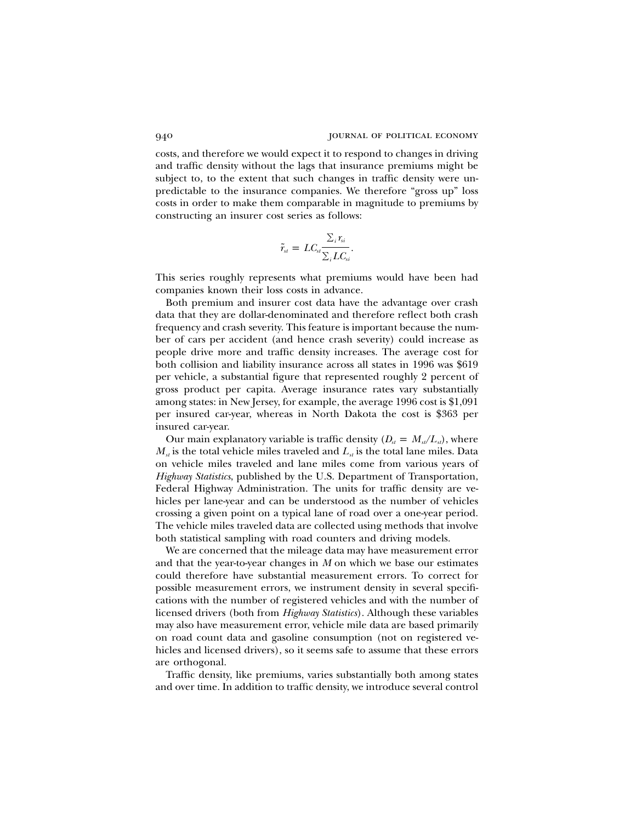costs, and therefore we would expect it to respond to changes in driving and traffic density without the lags that insurance premiums might be subject to, to the extent that such changes in traffic density were unpredictable to the insurance companies. We therefore "gross up" loss costs in order to make them comparable in magnitude to premiums by constructing an insurer cost series as follows:

$$
\tilde{r}_{st} = LC_{st} \frac{\sum_{i} r_{si}}{\sum_{i} LC_{si}}.
$$

This series roughly represents what premiums would have been had companies known their loss costs in advance.

Both premium and insurer cost data have the advantage over crash data that they are dollar-denominated and therefore reflect both crash frequency and crash severity. This feature is important because the number of cars per accident (and hence crash severity) could increase as people drive more and traffic density increases. The average cost for both collision and liability insurance across all states in 1996 was \$619 per vehicle, a substantial figure that represented roughly 2 percent of gross product per capita. Average insurance rates vary substantially among states: in New Jersey, for example, the average 1996 cost is \$1,091 per insured car-year, whereas in North Dakota the cost is \$363 per insured car-year.

Our main explanatory variable is traffic density  $(D_{st} = M_{st}/L_{st})$ , where  $M_{\rm d}$  is the total vehicle miles traveled and  $L_{\rm d}$  is the total lane miles. Data on vehicle miles traveled and lane miles come from various years of *Highway Statistics*, published by the U.S. Department of Transportation, Federal Highway Administration. The units for traffic density are vehicles per lane-year and can be understood as the number of vehicles crossing a given point on a typical lane of road over a one-year period. The vehicle miles traveled data are collected using methods that involve both statistical sampling with road counters and driving models.

We are concerned that the mileage data may have measurement error and that the year-to-year changes in *M* on which we base our estimates could therefore have substantial measurement errors. To correct for possible measurement errors, we instrument density in several specifications with the number of registered vehicles and with the number of licensed drivers (both from *Highway Statistics*). Although these variables may also have measurement error, vehicle mile data are based primarily on road count data and gasoline consumption (not on registered vehicles and licensed drivers), so it seems safe to assume that these errors are orthogonal.

Traffic density, like premiums, varies substantially both among states and over time. In addition to traffic density, we introduce several control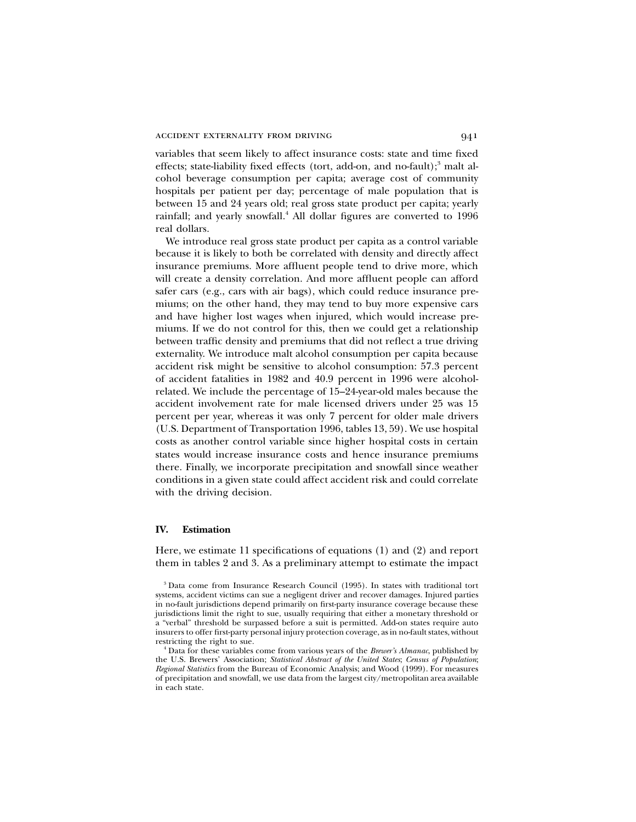variables that seem likely to affect insurance costs: state and time fixed effects; state-liability fixed effects (tort, add-on, and no-fault); $3$  malt alcohol beverage consumption per capita; average cost of community hospitals per patient per day; percentage of male population that is between 15 and 24 years old; real gross state product per capita; yearly rainfall; and yearly snowfall.<sup>4</sup> All dollar figures are converted to 1996 real dollars.

We introduce real gross state product per capita as a control variable because it is likely to both be correlated with density and directly affect insurance premiums. More affluent people tend to drive more, which will create a density correlation. And more affluent people can afford safer cars (e.g., cars with air bags), which could reduce insurance premiums; on the other hand, they may tend to buy more expensive cars and have higher lost wages when injured, which would increase premiums. If we do not control for this, then we could get a relationship between traffic density and premiums that did not reflect a true driving externality. We introduce malt alcohol consumption per capita because accident risk might be sensitive to alcohol consumption: 57.3 percent of accident fatalities in 1982 and 40.9 percent in 1996 were alcoholrelated. We include the percentage of 15–24-year-old males because the accident involvement rate for male licensed drivers under 25 was 15 percent per year, whereas it was only 7 percent for older male drivers (U.S. Department of Transportation 1996, tables 13, 59). We use hospital costs as another control variable since higher hospital costs in certain states would increase insurance costs and hence insurance premiums there. Finally, we incorporate precipitation and snowfall since weather conditions in a given state could affect accident risk and could correlate with the driving decision.

# **IV. Estimation**

Here, we estimate 11 specifications of equations (1) and (2) and report them in tables 2 and 3. As a preliminary attempt to estimate the impact

<sup>3</sup> Data come from Insurance Research Council (1995). In states with traditional tort systems, accident victims can sue a negligent driver and recover damages. Injured parties in no-fault jurisdictions depend primarily on first-party insurance coverage because these jurisdictions limit the right to sue, usually requiring that either a monetary threshold or a "verbal" threshold be surpassed before a suit is permitted. Add-on states require auto insurers to offer first-party personal injury protection coverage, as in no-fault states, without restricting the right to sue.

<sup>4</sup> Data for these variables come from various years of the *Brewer's Almanac*, published by the U.S. Brewers' Association; *Statistical Abstract of the United States*; *Census of Population*; *Regional Statistics* from the Bureau of Economic Analysis; and Wood (1999). For measures of precipitation and snowfall, we use data from the largest city/metropolitan area available in each state.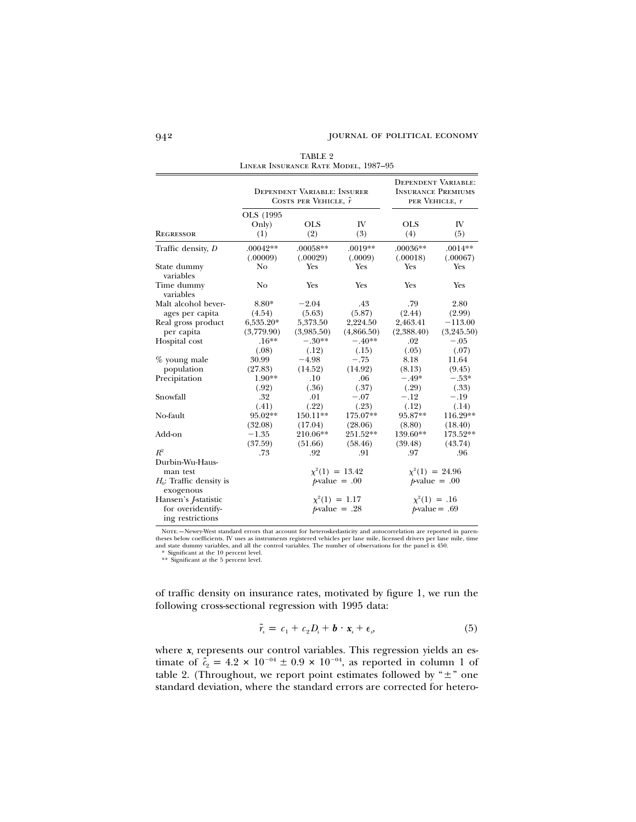|                                         |            | <b>DEPENDENT VARIABLE: INSURER</b><br>COSTS PER VEHICLE, $\tilde{r}$ |                     |            | <b>DEPENDENT VARIABLE:</b><br><b>INSURANCE PREMIUMS</b><br>PER VEHICLE, r |
|-----------------------------------------|------------|----------------------------------------------------------------------|---------------------|------------|---------------------------------------------------------------------------|
|                                         | OLS (1995) |                                                                      |                     |            |                                                                           |
|                                         | Only)      | <b>OLS</b>                                                           | IV                  | <b>OLS</b> | IV                                                                        |
| <b>REGRESSOR</b>                        | (1)        | (2)                                                                  | (3)                 | (4)        | (5)                                                                       |
| Traffic density, D                      | $.00042**$ | .00058**                                                             | $.0019**$           | $.00036**$ | $.0014**$                                                                 |
|                                         | (.00009)   | (.00029)                                                             | (.0009)             | (.00018)   | (.00067)                                                                  |
| State dummy<br>variables                | No         | Yes                                                                  | Yes                 | Yes        | Yes                                                                       |
| Time dummy<br>variables                 | No         | <b>Yes</b>                                                           | <b>Yes</b>          | <b>Yes</b> | <b>Yes</b>                                                                |
| Malt alcohol bever-                     | 8.80*      | $-2.04$                                                              | .43                 | .79        | 2.80                                                                      |
| ages per capita                         | (4.54)     | (5.63)                                                               | (5.87)              | (2.44)     | (2.99)                                                                    |
| Real gross product                      | 6,535.20*  | 5,373.50                                                             | 2,224.50            | 2,463.41   | $-113.00$                                                                 |
| per capita                              | (3,779.90) | (3,985.50)                                                           | (4,866.50)          | (2,388.40) | (3,245.50)                                                                |
| Hospital cost                           | $.16***$   | $-.30**$                                                             | $-.40**$            | .02        | $-.05$                                                                    |
|                                         | (.08)      | (.12)                                                                | (.15)               | (.05)      | (.07)                                                                     |
| % young male                            | 30.99      | $-4.98$                                                              | $-.75$              | 8.18       | 11.64                                                                     |
| population                              | (27.83)    | (14.52)                                                              | (14.92)             | (8.13)     | (9.45)                                                                    |
| Precipitation                           | 1.90**     | .10                                                                  | .06                 | $-.49*$    | $-.53*$                                                                   |
|                                         | (.92)      | (.36)                                                                | (.37)               | (.29)      | (.33)                                                                     |
| Snowfall                                | .32        | .01                                                                  | $-.07$              | $-.12$     | $-.19$                                                                    |
|                                         | (.41)      | (.22)                                                                | (.23)               | (.12)      | (.14)                                                                     |
| No-fault                                | 95.02**    | 150.11**                                                             | 175.07**            | 95.87**    | 116.29**                                                                  |
|                                         | (32.08)    | (17.04)                                                              | (28.06)             | (8.80)     | (18.40)                                                                   |
| Add-on                                  | $-1.35$    | 210.06**                                                             | 251.52**            | 139.60**   | 173.52**                                                                  |
|                                         | (37.59)    | (51.66)                                                              | (58.46)             | (39.48)    | (43.74)                                                                   |
| $R^2$                                   | .73        | .92                                                                  | .91                 | .97        | .96                                                                       |
| Durbin-Wu-Haus-                         |            |                                                                      |                     |            |                                                                           |
| man test                                |            |                                                                      | $\chi^2(1) = 13.42$ |            | $\chi^2(1) = 24.96$                                                       |
| $H_0$ : Traffic density is<br>exogenous |            |                                                                      | $p$ -value = .00    |            | $\n  p-value = .00\n$                                                     |
| Hansen's <i>J</i> -statistic            |            |                                                                      | $\chi^2(1) = 1.17$  |            | $x^2(1) = .16$                                                            |
| for overidentify-<br>ing restrictions   |            |                                                                      | $p$ -value = .28    |            | $p$ value = .69                                                           |

TABLE 2 Linear Insurance Rate Model, 1987–95

Nore.—Newey-West standard errors that account for heteroskedasticity and autocorrelation are reported in paren-<br>theses below coefficients. IV uses as instruments registered vehicles per lane mile, licensed drivers per lane

of traffic density on insurance rates, motivated by figure 1, we run the following cross-sectional regression with 1995 data:

$$
\tilde{r}_s = c_1 + c_2 D_s + \mathbf{b} \cdot \mathbf{x}_s + \epsilon_s, \tag{5}
$$

where  $x_s$  represents our control variables. This regression yields an estimate of  $\hat{c}_2 = 4.2 \times 10^{-04} \pm 0.9 \times 10^{-04}$ , as reported in column 1 of table 2. (Throughout, we report point estimates followed by " $\pm$ " one standard deviation, where the standard errors are corrected for hetero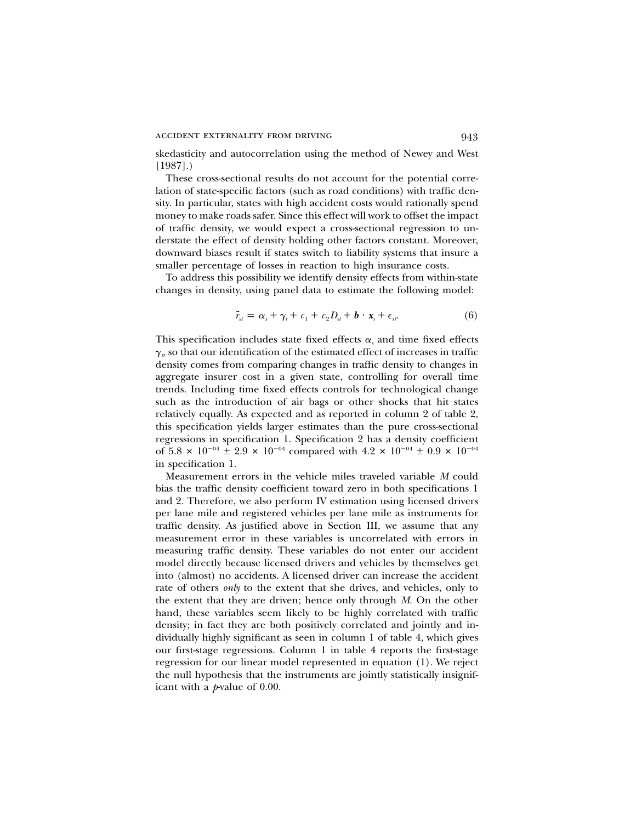skedasticity and autocorrelation using the method of Newey and West [1987].)

These cross-sectional results do not account for the potential correlation of state-specific factors (such as road conditions) with traffic density. In particular, states with high accident costs would rationally spend money to make roads safer. Since this effect will work to offset the impact of traffic density, we would expect a cross-sectional regression to understate the effect of density holding other factors constant. Moreover, downward biases result if states switch to liability systems that insure a smaller percentage of losses in reaction to high insurance costs.

To address this possibility we identify density effects from within-state changes in density, using panel data to estimate the following model:

$$
\tilde{r}_{st} = \alpha_s + \gamma_t + c_1 + c_2 D_{st} + \boldsymbol{b} \cdot \boldsymbol{x}_s + \epsilon_{st}.
$$
\n(6)

This specification includes state fixed effects  $\alpha_s$  and time fixed effects  $\gamma_{\scriptscriptstyle \rho}$  so that our identification of the estimated effect of increases in traffic density comes from comparing changes in traffic density to changes in aggregate insurer cost in a given state, controlling for overall time trends. Including time fixed effects controls for technological change such as the introduction of air bags or other shocks that hit states relatively equally. As expected and as reported in column 2 of table 2, this specification yields larger estimates than the pure cross-sectional regressions in specification 1. Specification 2 has a density coefficient of 5.8  $\times$  10<sup>-04</sup>  $\pm$  2.9  $\times$  10<sup>-04</sup> compared with 4.2  $\times$  10<sup>-04</sup>  $\pm$  0.9  $\times$  10<sup>-04</sup> in specification 1.

Measurement errors in the vehicle miles traveled variable *M* could bias the traffic density coefficient toward zero in both specifications 1 and 2. Therefore, we also perform IV estimation using licensed drivers per lane mile and registered vehicles per lane mile as instruments for traffic density. As justified above in Section III, we assume that any measurement error in these variables is uncorrelated with errors in measuring traffic density. These variables do not enter our accident model directly because licensed drivers and vehicles by themselves get into (almost) no accidents. A licensed driver can increase the accident rate of others *only* to the extent that she drives, and vehicles, only to the extent that they are driven; hence only through *M*. On the other hand, these variables seem likely to be highly correlated with traffic density; in fact they are both positively correlated and jointly and individually highly significant as seen in column 1 of table 4, which gives our first-stage regressions. Column 1 in table 4 reports the first-stage regression for our linear model represented in equation (1). We reject the null hypothesis that the instruments are jointly statistically insignificant with a *p*-value of 0.00.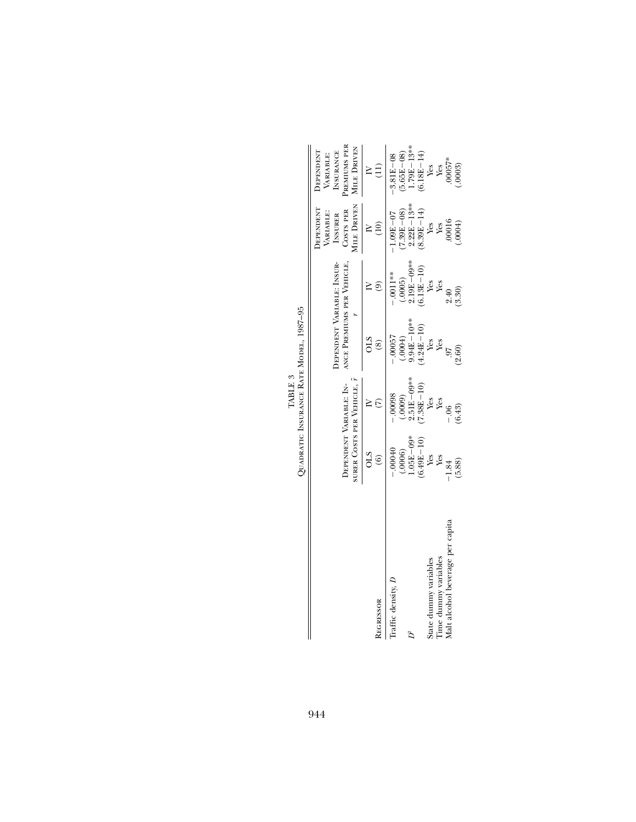|                                               |                                                       | TABLE 3                                |                                                          |                                            |                                                                     |                                                                                  |
|-----------------------------------------------|-------------------------------------------------------|----------------------------------------|----------------------------------------------------------|--------------------------------------------|---------------------------------------------------------------------|----------------------------------------------------------------------------------|
|                                               |                                                       |                                        | QUADRATIC INSURANCE RATE MODEL, 1987-95                  |                                            |                                                                     |                                                                                  |
|                                               | SURER COSTS PER VEHICLE, 7<br>DEPENDENT VARIABLE: IN- |                                        | DEPENDENT VARIABLE: INSUR-<br>ANCE PREMIUMS PER VEHICLE. |                                            | MILE DRIVEN<br><b>EPENDENT</b><br>COSTS PER<br>VARIABLE:<br>INSURER | PREMIUMS PER<br><b>MILE DRIVEN</b><br><b>INSURANCE</b><br>DEPENDENT<br>VARIABLE: |
| <b>REGRESSOR</b>                              | <b>CTO</b><br>$\widehat{\circ}$                       |                                        | $\circledast$                                            | ම                                          | (10)                                                                |                                                                                  |
| Traffic density, D                            | $-0.00040$                                            | $-.00098$                              | $-.00057$                                                | $-.0011**$                                 | $1.09E - 07$                                                        | $-3.81E - 08$                                                                    |
|                                               | $.05E - 09*$<br>$(6.49E - 10)$<br>(.0006)             | 2.51E-09**<br>$(7.38E - 10)$<br>(6000. | $9.94E-10^{***}$<br>$(4.24E - 10)$<br>(.0004)            | $0.19E - 09***$<br>$(6.13E - 10)$<br>.0005 | $2.22E - 13***$<br>$7.39E - 08$<br>$(8.39E - 14)$                   | $1.79E - 13***$<br>$(5.65E - 08)$<br>$(6.18E - 14)$                              |
| Time dummy variables<br>State dummy variables | Yes<br>Yes                                            | Yes<br>Yes                             | Yes<br>Yes                                               | Yes<br>Yes                                 | Yes<br>Yes                                                          | Yes<br>Yes                                                                       |
| Malt alcohol beverage per capita              | (5.88)<br>$-1.84$                                     | (6.43)<br>$-0.06$                      | (2.60)<br><b>L6</b>                                      | (3.30)<br>2.40                             | .00016<br>.0004)                                                    | $00057*$<br>.0003)                                                               |

1987-95 TABLE 3<br><sup>8</sup> Mange Rate Mode TABLE 3  $\mathbf{r}$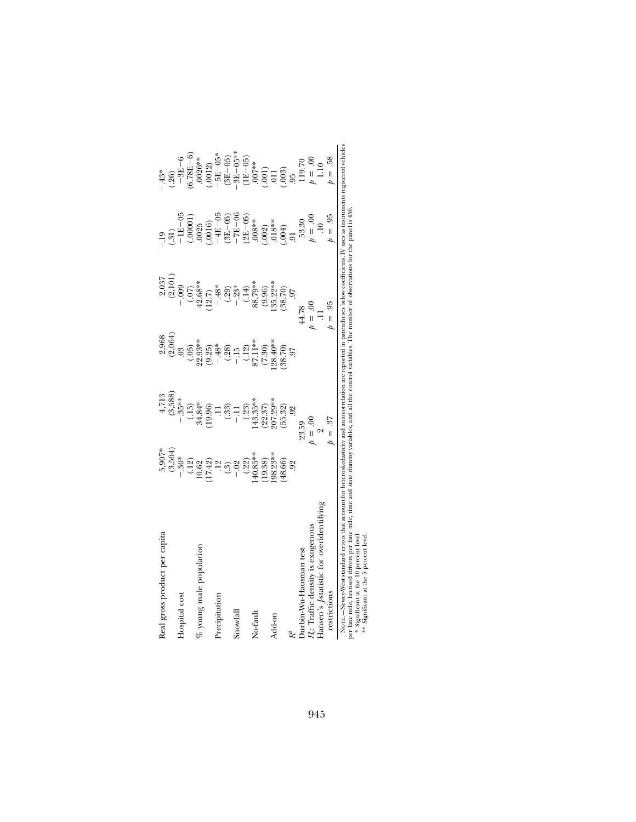| Real gross product per capita                                                                                                                                                        |                                                            | 4,713                                        |                                                                                  |                             |                                           | $-43*$                                   |
|--------------------------------------------------------------------------------------------------------------------------------------------------------------------------------------|------------------------------------------------------------|----------------------------------------------|----------------------------------------------------------------------------------|-----------------------------|-------------------------------------------|------------------------------------------|
|                                                                                                                                                                                      | $5,907*$<br>$(3,504)$                                      | $(3,588)$<br>- 35**                          | $2,968$<br>$(2,064)$                                                             | $\frac{2,037}{(2,101)}$     | $\left( .31\right)$                       |                                          |
| Hospital cost                                                                                                                                                                        | $.30*$                                                     |                                              | 0 <sup>3</sup>                                                                   | $-0.09$                     |                                           |                                          |
|                                                                                                                                                                                      |                                                            |                                              |                                                                                  |                             | $-1E-05$<br>(.00001)<br>.0025             | $(0.26)$<br>- 3E – 6<br>(6.78E – 6)      |
| % young male population                                                                                                                                                              |                                                            |                                              | $(0.05)$<br>22.93**                                                              |                             |                                           | $.0026***$                               |
|                                                                                                                                                                                      | $\begin{array}{c} (12) \\ 19.62 \\ 10.63 \\ 1 \end{array}$ | $(15)$<br>$34.84*$<br>$(19.96)$<br>$(19.96)$ | $(9.25)$<br>$-48$<br>$-48$<br>$-15$<br>$-12$<br>$-13$<br>$-13$<br>$-13$<br>$-13$ | $(07)$<br>42.68**<br>(12.7) | $(-0016)$<br>-4E-05                       | $(.0012)$<br>$-5E-05*$                   |
| Precipitation                                                                                                                                                                        |                                                            |                                              |                                                                                  | $-0.48*$                    |                                           |                                          |
|                                                                                                                                                                                      |                                                            | $(.33) - .11$                                |                                                                                  | $(-29)$<br>- $23*$          | $(3E-05)$<br>-7E-06                       | $(3E - 05)$                              |
| Snowfal                                                                                                                                                                              |                                                            |                                              |                                                                                  |                             |                                           | $3E - 05**$                              |
|                                                                                                                                                                                      | (.22)                                                      |                                              |                                                                                  | $(0.14)$<br>88.79**         | $(2E-05)$<br>.008**                       |                                          |
| No-fault                                                                                                                                                                             | $40.85***$                                                 | $(0.23)$<br>143.35**                         |                                                                                  |                             |                                           | $(1E-05)$<br>.007**                      |
|                                                                                                                                                                                      | 19.38)                                                     | $(22.37)$<br>$207.29***$                     | $(7.30)$<br>$(28.40**$                                                           | (9.96)                      |                                           | $(011)$<br>$(013)$<br>$(0.8)$<br>$(0.8)$ |
| Add-on                                                                                                                                                                               | 98.23**                                                    |                                              |                                                                                  | $35.22***$                  | $(.002)$<br>$(.004)$<br>$(.004)$<br>$.91$ |                                          |
|                                                                                                                                                                                      | (48.66)                                                    | (55.32)                                      | (38.70)                                                                          | (38.70)                     |                                           |                                          |
|                                                                                                                                                                                      | 92                                                         | 92                                           | 50                                                                               | 56                          |                                           |                                          |
| Durbin-Wu-Hausman test                                                                                                                                                               |                                                            | 23.59                                        |                                                                                  | 44.78                       | 53.30                                     | 119.70                                   |
| H <sub>6</sub> : Traffic density is exogenous                                                                                                                                        |                                                            | $\theta = 0.0$                               |                                                                                  | $\dot{\theta} = 0.00$       | $00 = 0$                                  | $00 = 0$                                 |
| Hansen's Astatistic for overidentifying                                                                                                                                              |                                                            | $\sim$                                       |                                                                                  |                             | $\overline{10}$                           | 1.10                                     |
| restrictions                                                                                                                                                                         |                                                            | $b = .37$                                    |                                                                                  | $0 = .95$                   | $= .95$                                   | $= .58$                                  |
| Norre.—Newey-West standard errors that account for heteroskedasticity and autocorrelation are reported in parentheses below coefficients. IV uses as instruments registered vehicles |                                                            |                                              |                                                                                  |                             |                                           |                                          |

per lane mile, licensed divers per lane mile, time and state dummy variables, and all the control variables. The number of observations for the panel is 450.<br>\* Significant at the 10 percent level.<br>\*\* Significant at the 5 p per lane mile, licensed drivers per lane mile, time and state dummy variables, and all the control variables. The number of observations for the panel is 450. \* Significant at the 10 percent level.

\*\* Significant at the 5 percent level.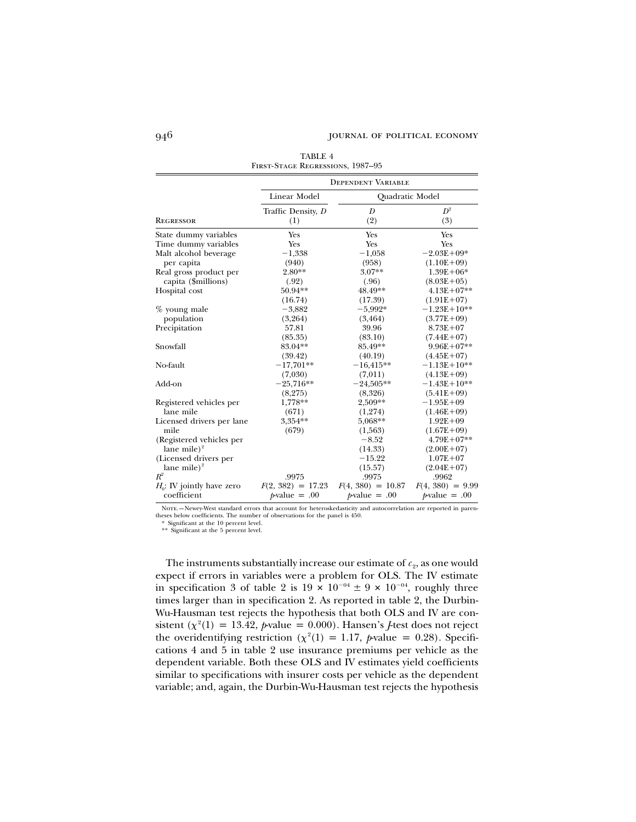|                              |                     | <b>DEPENDENT VARIABLE</b> |                    |
|------------------------------|---------------------|---------------------------|--------------------|
|                              | Linear Model        | Quadratic Model           |                    |
|                              | Traffic Density, D  | D                         | $D^2$              |
| <b>REGRESSOR</b>             | (1)                 | (2)                       | (3)                |
| State dummy variables        | Yes                 | Yes                       | Yes                |
| Time dummy variables         | Yes                 | Yes                       | Yes                |
| Malt alcohol beverage        | $-1,338$            | $-1,058$                  | $-2.03E + 09*$     |
| per capita                   | (940)               | (958)                     | $(1.10E+09)$       |
| Real gross product per       | $2.80**$            | $3.07**$                  | $1.39E + 06*$      |
| capita (\$millions)          | (.92)               | (.96)                     | $(8.03E+05)$       |
| Hospital cost                | 50.94**             | 48.49**                   | $4.13E + 07**$     |
|                              | (16.74)             | (17.39)                   | $(1.91E+07)$       |
| $%$ young male               | $-3,882$            | $-5,992*$                 | $-1.23E+10**$      |
| population                   | (3,264)             | (3, 464)                  | $(3.77E+09)$       |
| Precipitation                | 57.81               | 39.96                     | $8.73E + 07$       |
|                              | (85.35)             | (83.10)                   | $(7.44E+07)$       |
| Snowfall                     | 83.04**             | 85.49**                   | $9.96E + 07**$     |
|                              | (39.42)             | (40.19)                   | $(4.45E+07)$       |
| No-fault                     | $-17,701**$         | $-16,415**$               | $-1.13E+10**$      |
|                              | (7,030)             | (7,011)                   | $(4.13E+09)$       |
| Add-on                       | $-25,716**$         | $-24,505**$               | $-1.43E+10**$      |
|                              | (8,275)             | (8,326)                   | $(5.41E+09)$       |
| Registered vehicles per      | 1,778**             | 2,509**                   | $-1.95E + 09$      |
| lane mile                    | (671)               | (1,274)                   | $(1.46E+09)$       |
| Licensed drivers per lane    | 3,354**             | 5,068**                   | $1.92E + 09$       |
| mile                         | (679)               | (1,563)                   | $(1.67E+09)$       |
| (Registered vehicles per     |                     | $-8.52$                   | $4.79E + 07**$     |
| lane mile) <sup>2</sup>      |                     | (14.33)                   | $(2.00E+07)$       |
| (Licensed drivers per        |                     | $-15.22$                  | $1.07E + 07$       |
| lane mile) <sup>2</sup>      |                     | (15.57)                   | $(2.04E+07)$       |
| $R^2$                        | .9975               | .9975                     | .9962              |
| $H_0$ : IV jointly have zero | $F(2, 382) = 17.23$ | $F(4, 380) = 10.87$       | $F(4, 380) = 9.99$ |
| coefficient                  | $p$ -value = .00    | $p$ -value = .00          | $p$ -value = .00   |

TABLE 4 First-Stage Regressions, 1987–95

NOTE. -Newey-West standard errors that account for heteroskedasticity and autocorrelation are reported in parentheses below coefficients. The number of observations for the panel is 450.

\* Significant at the 10 percent level.

\*\* Significant at the 5 percent level.

The instruments substantially increase our estimate of  $c_2$ , as one would expect if errors in variables were a problem for OLS. The IV estimate in specification 3 of table 2 is  $19 \times 10^{-04} \pm 9 \times 10^{-04}$ , roughly three times larger than in specification 2. As reported in table 2, the Durbin-Wu-Hausman test rejects the hypothesis that both OLS and IV are consistent ( $\chi^2(1) = 13.42$ , *p*-value = 0.000). Hansen's *J*-test does not reject the overidentifying restriction ( $\chi^2(1) = 1.17$ , p value = 0.28). Specifications 4 and 5 in table 2 use insurance premiums per vehicle as the dependent variable. Both these OLS and IV estimates yield coefficients similar to specifications with insurer costs per vehicle as the dependent variable; and, again, the Durbin-Wu-Hausman test rejects the hypothesis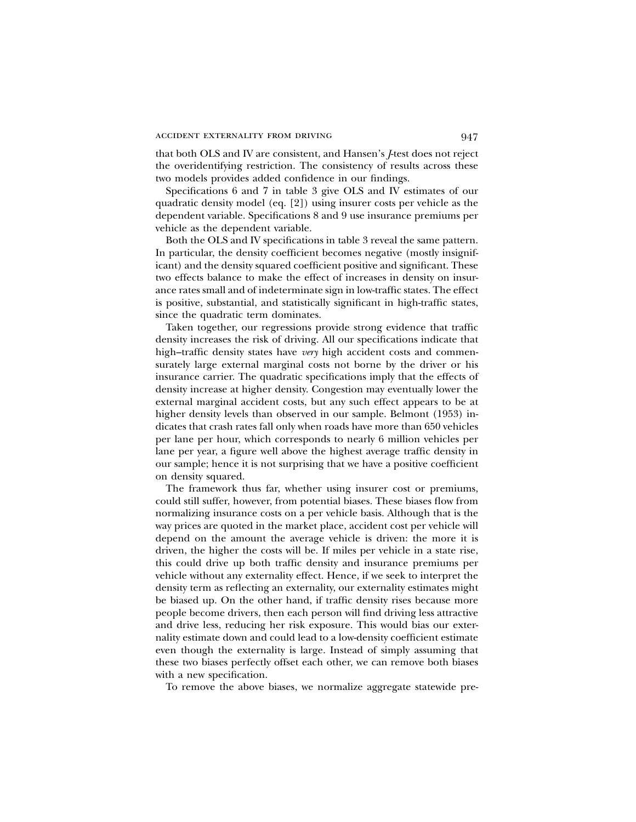that both OLS and IV are consistent, and Hansen's *J*-test does not reject the overidentifying restriction. The consistency of results across these two models provides added confidence in our findings.

Specifications 6 and 7 in table 3 give OLS and IV estimates of our quadratic density model (eq. [2]) using insurer costs per vehicle as the dependent variable. Specifications 8 and 9 use insurance premiums per vehicle as the dependent variable.

Both the OLS and IV specifications in table 3 reveal the same pattern. In particular, the density coefficient becomes negative (mostly insignificant) and the density squared coefficient positive and significant. These two effects balance to make the effect of increases in density on insurance rates small and of indeterminate sign in low-traffic states. The effect is positive, substantial, and statistically significant in high-traffic states, since the quadratic term dominates.

Taken together, our regressions provide strong evidence that traffic density increases the risk of driving. All our specifications indicate that high–traffic density states have *very* high accident costs and commensurately large external marginal costs not borne by the driver or his insurance carrier. The quadratic specifications imply that the effects of density increase at higher density. Congestion may eventually lower the external marginal accident costs, but any such effect appears to be at higher density levels than observed in our sample. Belmont (1953) indicates that crash rates fall only when roads have more than 650 vehicles per lane per hour, which corresponds to nearly 6 million vehicles per lane per year, a figure well above the highest average traffic density in our sample; hence it is not surprising that we have a positive coefficient on density squared.

The framework thus far, whether using insurer cost or premiums, could still suffer, however, from potential biases. These biases flow from normalizing insurance costs on a per vehicle basis. Although that is the way prices are quoted in the market place, accident cost per vehicle will depend on the amount the average vehicle is driven: the more it is driven, the higher the costs will be. If miles per vehicle in a state rise, this could drive up both traffic density and insurance premiums per vehicle without any externality effect. Hence, if we seek to interpret the density term as reflecting an externality, our externality estimates might be biased up. On the other hand, if traffic density rises because more people become drivers, then each person will find driving less attractive and drive less, reducing her risk exposure. This would bias our externality estimate down and could lead to a low-density coefficient estimate even though the externality is large. Instead of simply assuming that these two biases perfectly offset each other, we can remove both biases with a new specification.

To remove the above biases, we normalize aggregate statewide pre-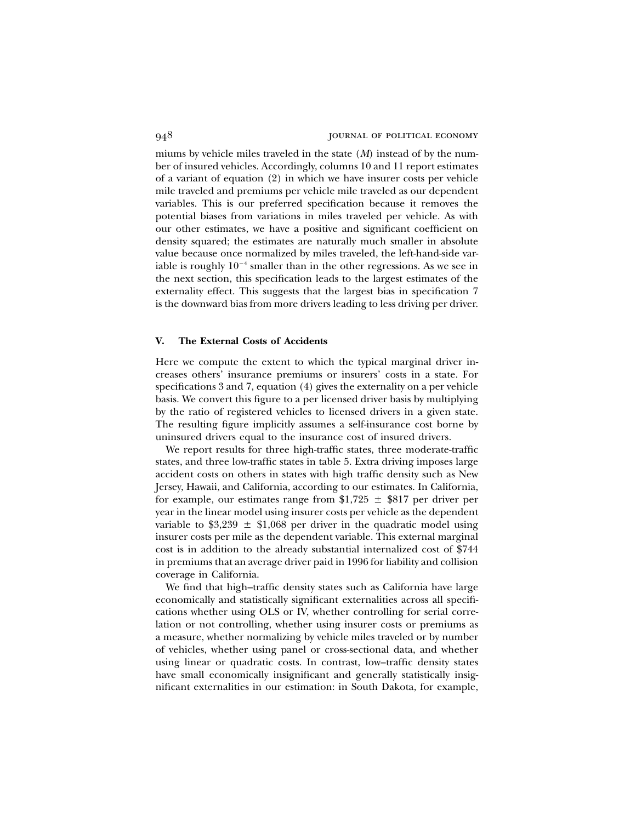miums by vehicle miles traveled in the state (*M*) instead of by the number of insured vehicles. Accordingly, columns 10 and 11 report estimates of a variant of equation (2) in which we have insurer costs per vehicle mile traveled and premiums per vehicle mile traveled as our dependent variables. This is our preferred specification because it removes the potential biases from variations in miles traveled per vehicle. As with our other estimates, we have a positive and significant coefficient on density squared; the estimates are naturally much smaller in absolute value because once normalized by miles traveled, the left-hand-side variable is roughly  $10^{-4}$  smaller than in the other regressions. As we see in the next section, this specification leads to the largest estimates of the externality effect. This suggests that the largest bias in specification 7 is the downward bias from more drivers leading to less driving per driver.

## **V. The External Costs of Accidents**

Here we compute the extent to which the typical marginal driver increases others' insurance premiums or insurers' costs in a state. For specifications 3 and 7, equation (4) gives the externality on a per vehicle basis. We convert this figure to a per licensed driver basis by multiplying by the ratio of registered vehicles to licensed drivers in a given state. The resulting figure implicitly assumes a self-insurance cost borne by uninsured drivers equal to the insurance cost of insured drivers.

We report results for three high-traffic states, three moderate-traffic states, and three low-traffic states in table 5. Extra driving imposes large accident costs on others in states with high traffic density such as New Jersey, Hawaii, and California, according to our estimates. In California, for example, our estimates range from  $1,725 \pm 10$  per driver per year in the linear model using insurer costs per vehicle as the dependent variable to  $$3,239 \pm $1,068$  per driver in the quadratic model using insurer costs per mile as the dependent variable. This external marginal cost is in addition to the already substantial internalized cost of \$744 in premiums that an average driver paid in 1996 for liability and collision coverage in California.

We find that high–traffic density states such as California have large economically and statistically significant externalities across all specifications whether using OLS or IV, whether controlling for serial correlation or not controlling, whether using insurer costs or premiums as a measure, whether normalizing by vehicle miles traveled or by number of vehicles, whether using panel or cross-sectional data, and whether using linear or quadratic costs. In contrast, low–traffic density states have small economically insignificant and generally statistically insignificant externalities in our estimation: in South Dakota, for example,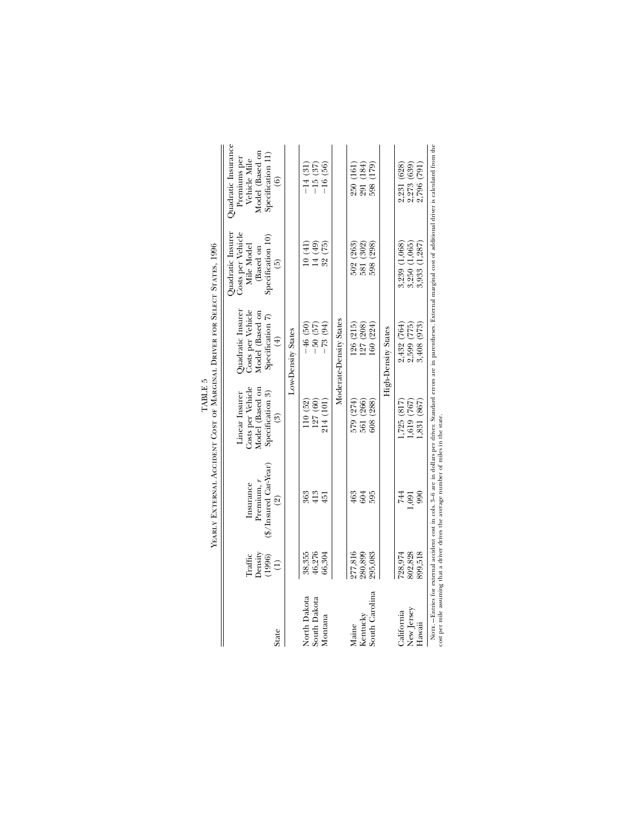|                                         |                                                        | YEARLY EXTERNAL ACCIDENT COST OF MARGINAL DRIVER FOR SELECT STATES, 1996                                                                                                                                                                                                           |                                                                                                       |                                                                                              |                                                                                                         |                                                                                                                       |
|-----------------------------------------|--------------------------------------------------------|------------------------------------------------------------------------------------------------------------------------------------------------------------------------------------------------------------------------------------------------------------------------------------|-------------------------------------------------------------------------------------------------------|----------------------------------------------------------------------------------------------|---------------------------------------------------------------------------------------------------------|-----------------------------------------------------------------------------------------------------------------------|
| State                                   | Density<br>Traffic<br>(1996)<br>$\widehat{\mathbf{d}}$ | (\$/Insured Car-Year)<br>Premium, r<br>Insurance<br>$\widehat{\mathfrak{A}}$                                                                                                                                                                                                       | Costs per Vehicle<br>Model (Based on<br>Specification 3)<br>Linear Insurer<br>$\widehat{\mathcal{E}}$ | Costs per Vehicle<br>Quadratic Insurer<br>Model (Based on<br>Specification 7)<br>$\bigoplus$ | Quadratic Insurer<br>Costs per Vehicle<br>Specification 10)<br>Mile Model<br>(Based on<br>$\widehat{5}$ | Quadratic Insurance<br>Model (Based on<br>Specification 11)<br>Premiums per<br>Vehicle Mile<br>$\widehat{\mathbf{e}}$ |
|                                         |                                                        |                                                                                                                                                                                                                                                                                    |                                                                                                       | Low-Density States                                                                           |                                                                                                         |                                                                                                                       |
| North Dakota<br>South Dakota<br>Montana | 46,276<br>38,355<br>66,304                             | 413<br>363<br>451                                                                                                                                                                                                                                                                  | 127 (60)<br>214 (101)<br>110(52)                                                                      | $-50$ (57)<br>$-73$ (94)<br>$-46(50)$                                                        | 14(49)<br>32(75)<br>10(41)                                                                              | $-16(56)$<br>$-15(37)$<br>$-14(31)$                                                                                   |
|                                         |                                                        |                                                                                                                                                                                                                                                                                    |                                                                                                       | Moderate-Density States                                                                      |                                                                                                         |                                                                                                                       |
| Kentucky<br>Maine                       | 277,816<br>280,899                                     | 604<br>463                                                                                                                                                                                                                                                                         | 579 (274)<br>561 (266)                                                                                | $\frac{126}{127} \frac{(215)}{(208)}$                                                        | 581 (302)<br>502(263)                                                                                   | 291 (184)<br>250(161)                                                                                                 |
| South Carolina                          | 295,083                                                | 595                                                                                                                                                                                                                                                                                | (288)<br>608                                                                                          | 160(224)                                                                                     | 598 (298)                                                                                               | 598 (179)                                                                                                             |
|                                         |                                                        |                                                                                                                                                                                                                                                                                    |                                                                                                       | High-Density States                                                                          |                                                                                                         |                                                                                                                       |
| New Jersey<br>California                | 802,828<br>728,974                                     | 744<br>1,091                                                                                                                                                                                                                                                                       | (517)<br>1,619 (767)                                                                                  | 2,432 (764)<br>2,599 (775)                                                                   | 3,250 (1,065)<br>3,239(1,068)                                                                           | 2,231 (628)<br>2,273 (639)                                                                                            |
| Hawaii                                  | 899,518                                                | 990                                                                                                                                                                                                                                                                                | 1,831(867)                                                                                            | 3,408 (973)                                                                                  | (1, 287)<br>3,933                                                                                       | 2,796 (791)                                                                                                           |
|                                         |                                                        | Norr. - Entries for external accident cost in cols. 3-6 are in dollars per driver. Standard errors are in parentheses. External marginal cost of additional driver is calculated from the<br>cost per mile assuming that a driver drives the average number of miles in the state. |                                                                                                       |                                                                                              |                                                                                                         |                                                                                                                       |

TABLE  $5$ TABLE 5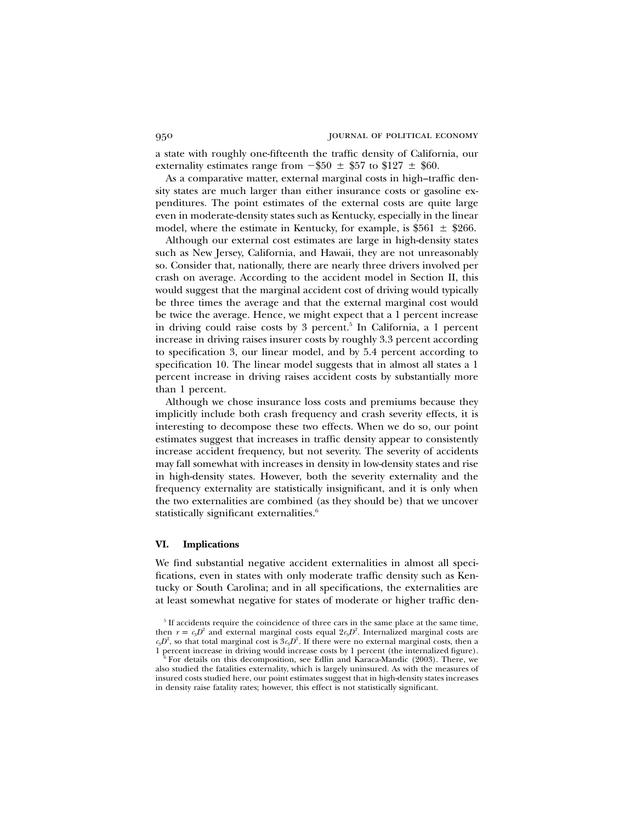a state with roughly one-fifteenth the traffic density of California, our externality estimates range from  $-\$50 \pm \$57$  to  $\$127 \pm \$60$ .

As a comparative matter, external marginal costs in high–traffic density states are much larger than either insurance costs or gasoline expenditures. The point estimates of the external costs are quite large even in moderate-density states such as Kentucky, especially in the linear model, where the estimate in Kentucky, for example, is  $$561 \pm $266$ .

Although our external cost estimates are large in high-density states such as New Jersey, California, and Hawaii, they are not unreasonably so. Consider that, nationally, there are nearly three drivers involved per crash on average. According to the accident model in Section II, this would suggest that the marginal accident cost of driving would typically be three times the average and that the external marginal cost would be twice the average. Hence, we might expect that a 1 percent increase in driving could raise costs by 3 percent.<sup>5</sup> In California, a 1 percent increase in driving raises insurer costs by roughly 3.3 percent according to specification 3, our linear model, and by 5.4 percent according to specification 10. The linear model suggests that in almost all states a 1 percent increase in driving raises accident costs by substantially more than 1 percent.

Although we chose insurance loss costs and premiums because they implicitly include both crash frequency and crash severity effects, it is interesting to decompose these two effects. When we do so, our point estimates suggest that increases in traffic density appear to consistently increase accident frequency, but not severity. The severity of accidents may fall somewhat with increases in density in low-density states and rise in high-density states. However, both the severity externality and the frequency externality are statistically insignificant, and it is only when the two externalities are combined (as they should be) that we uncover statistically significant externalities.<sup>6</sup>

### **VI. Implications**

We find substantial negative accident externalities in almost all specifications, even in states with only moderate traffic density such as Kentucky or South Carolina; and in all specifications, the externalities are at least somewhat negative for states of moderate or higher traffic den-

<sup>&</sup>lt;sup>5</sup> If accidents require the coincidence of three cars in the same place at the same time, then  $r = c_3 D^2$  and external marginal costs equal  $2 c_3 D^2$ . Internalized marginal costs are  $c_4D^2$ , so that total marginal cost is  $3c_4D^2$ . If there were no external marginal costs, then a 1 percent increase in driving would increase costs by 1 percent (the internalized figure).

<sup>6</sup> For details on this decomposition, see Edlin and Karaca-Mandic (2003). There, we also studied the fatalities externality, which is largely uninsured. As with the measures of insured costs studied here, our point estimates suggest that in high-density states increases in density raise fatality rates; however, this effect is not statistically significant.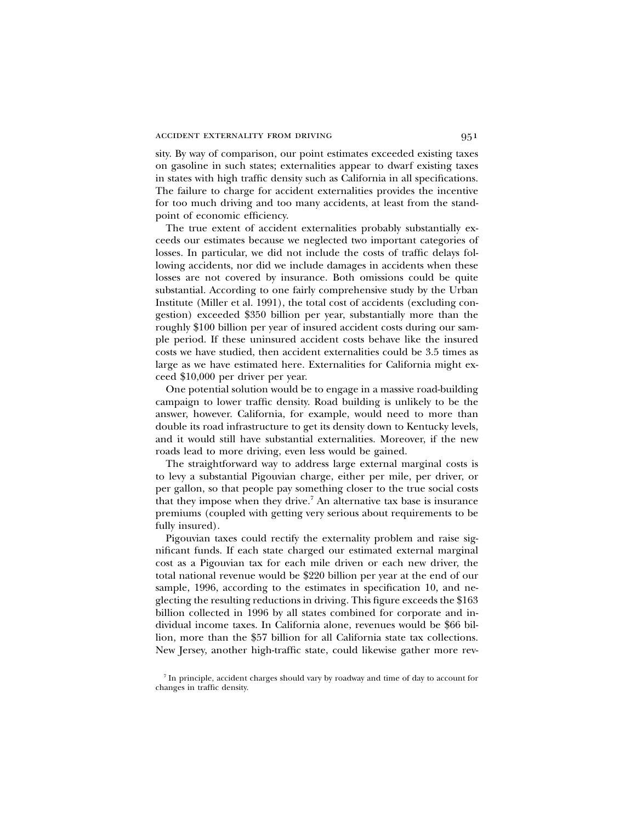sity. By way of comparison, our point estimates exceeded existing taxes on gasoline in such states; externalities appear to dwarf existing taxes in states with high traffic density such as California in all specifications. The failure to charge for accident externalities provides the incentive for too much driving and too many accidents, at least from the standpoint of economic efficiency.

The true extent of accident externalities probably substantially exceeds our estimates because we neglected two important categories of losses. In particular, we did not include the costs of traffic delays following accidents, nor did we include damages in accidents when these losses are not covered by insurance. Both omissions could be quite substantial. According to one fairly comprehensive study by the Urban Institute (Miller et al. 1991), the total cost of accidents (excluding congestion) exceeded \$350 billion per year, substantially more than the roughly \$100 billion per year of insured accident costs during our sample period. If these uninsured accident costs behave like the insured costs we have studied, then accident externalities could be 3.5 times as large as we have estimated here. Externalities for California might exceed \$10,000 per driver per year.

One potential solution would be to engage in a massive road-building campaign to lower traffic density. Road building is unlikely to be the answer, however. California, for example, would need to more than double its road infrastructure to get its density down to Kentucky levels, and it would still have substantial externalities. Moreover, if the new roads lead to more driving, even less would be gained.

The straightforward way to address large external marginal costs is to levy a substantial Pigouvian charge, either per mile, per driver, or per gallon, so that people pay something closer to the true social costs that they impose when they drive.7 An alternative tax base is insurance premiums (coupled with getting very serious about requirements to be fully insured).

Pigouvian taxes could rectify the externality problem and raise significant funds. If each state charged our estimated external marginal cost as a Pigouvian tax for each mile driven or each new driver, the total national revenue would be \$220 billion per year at the end of our sample, 1996, according to the estimates in specification 10, and neglecting the resulting reductions in driving. This figure exceeds the \$163 billion collected in 1996 by all states combined for corporate and individual income taxes. In California alone, revenues would be \$66 billion, more than the \$57 billion for all California state tax collections. New Jersey, another high-traffic state, could likewise gather more rev-

<sup>7</sup> In principle, accident charges should vary by roadway and time of day to account for changes in traffic density.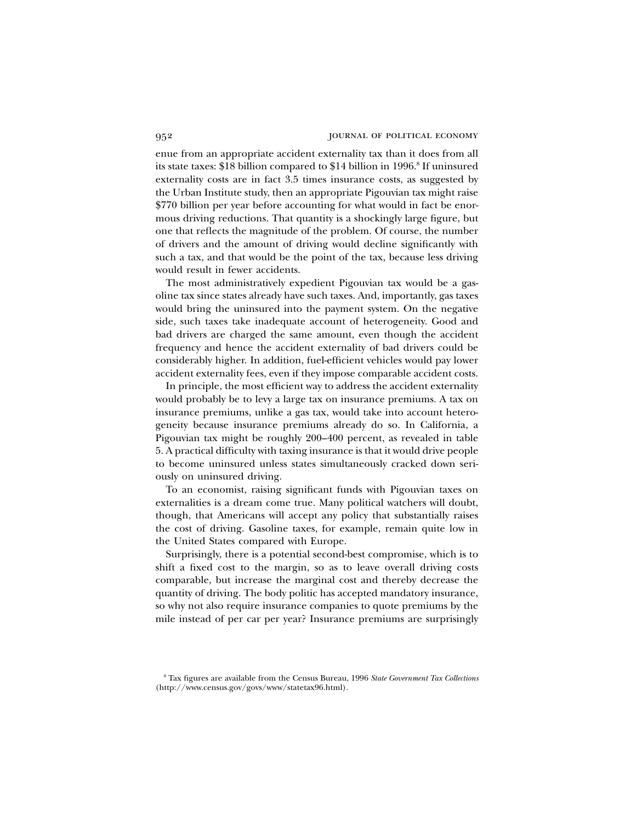enue from an appropriate accident externality tax than it does from all its state taxes: \$18 billion compared to \$14 billion in  $1996$ .<sup>8</sup> If uninsured externality costs are in fact 3.5 times insurance costs, as suggested by the Urban Institute study, then an appropriate Pigouvian tax might raise \$770 billion per year before accounting for what would in fact be enormous driving reductions. That quantity is a shockingly large figure, but one that reflects the magnitude of the problem. Of course, the number of drivers and the amount of driving would decline significantly with such a tax, and that would be the point of the tax, because less driving would result in fewer accidents.

The most administratively expedient Pigouvian tax would be a gasoline tax since states already have such taxes. And, importantly, gas taxes would bring the uninsured into the payment system. On the negative side, such taxes take inadequate account of heterogeneity. Good and bad drivers are charged the same amount, even though the accident frequency and hence the accident externality of bad drivers could be considerably higher. In addition, fuel-efficient vehicles would pay lower accident externality fees, even if they impose comparable accident costs.

In principle, the most efficient way to address the accident externality would probably be to levy a large tax on insurance premiums. A tax on insurance premiums, unlike a gas tax, would take into account heterogeneity because insurance premiums already do so. In California, a Pigouvian tax might be roughly 200–400 percent, as revealed in table 5. A practical difficulty with taxing insurance is that it would drive people to become uninsured unless states simultaneously cracked down seriously on uninsured driving.

To an economist, raising significant funds with Pigouvian taxes on externalities is a dream come true. Many political watchers will doubt, though, that Americans will accept any policy that substantially raises the cost of driving. Gasoline taxes, for example, remain quite low in the United States compared with Europe.

Surprisingly, there is a potential second-best compromise, which is to shift a fixed cost to the margin, so as to leave overall driving costs comparable, but increase the marginal cost and thereby decrease the quantity of driving. The body politic has accepted mandatory insurance, so why not also require insurance companies to quote premiums by the mile instead of per car per year? Insurance premiums are surprisingly

<sup>8</sup> Tax figures are available from the Census Bureau, 1996 *State Government Tax Collections* (http://www.census.gov/govs/www/statetax96.html).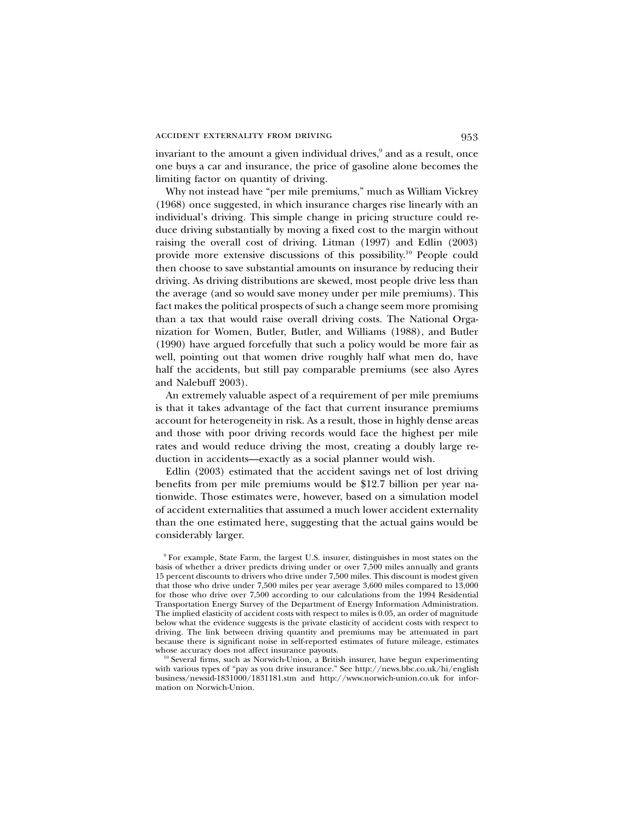invariant to the amount a given individual drives,<sup>9</sup> and as a result, once one buys a car and insurance, the price of gasoline alone becomes the limiting factor on quantity of driving.

Why not instead have "per mile premiums," much as William Vickrey (1968) once suggested, in which insurance charges rise linearly with an individual's driving. This simple change in pricing structure could reduce driving substantially by moving a fixed cost to the margin without raising the overall cost of driving. Litman (1997) and Edlin (2003) provide more extensive discussions of this possibility.10 People could then choose to save substantial amounts on insurance by reducing their driving. As driving distributions are skewed, most people drive less than the average (and so would save money under per mile premiums). This fact makes the political prospects of such a change seem more promising than a tax that would raise overall driving costs. The National Organization for Women, Butler, Butler, and Williams (1988), and Butler (1990) have argued forcefully that such a policy would be more fair as well, pointing out that women drive roughly half what men do, have half the accidents, but still pay comparable premiums (see also Ayres and Nalebuff 2003).

An extremely valuable aspect of a requirement of per mile premiums is that it takes advantage of the fact that current insurance premiums account for heterogeneity in risk. As a result, those in highly dense areas and those with poor driving records would face the highest per mile rates and would reduce driving the most, creating a doubly large reduction in accidents—exactly as a social planner would wish.

Edlin (2003) estimated that the accident savings net of lost driving benefits from per mile premiums would be \$12.7 billion per year nationwide. Those estimates were, however, based on a simulation model of accident externalities that assumed a much lower accident externality than the one estimated here, suggesting that the actual gains would be considerably larger.

<sup>9</sup> For example, State Farm, the largest U.S. insurer, distinguishes in most states on the basis of whether a driver predicts driving under or over 7,500 miles annually and grants 15 percent discounts to drivers who drive under 7,500 miles. This discount is modest given that those who drive under 7,500 miles per year average 3,600 miles compared to 13,000 for those who drive over 7,500 according to our calculations from the 1994 Residential Transportation Energy Survey of the Department of Energy Information Administration. The implied elasticity of accident costs with respect to miles is 0.05, an order of magnitude below what the evidence suggests is the private elasticity of accident costs with respect to driving. The link between driving quantity and premiums may be attenuated in part because there is significant noise in self-reported estimates of future mileage, estimates whose accuracy does not affect insurance payouts.

<sup>&</sup>lt;sup>10</sup> Several firms, such as Norwich-Union, a British insurer, have begun experimenting with various types of "pay as you drive insurance." See http://news.bbc.co.uk/hi/english business/newsid-1831000/1831181.stm and http://www.norwich-union.co.uk for information on Norwich-Union.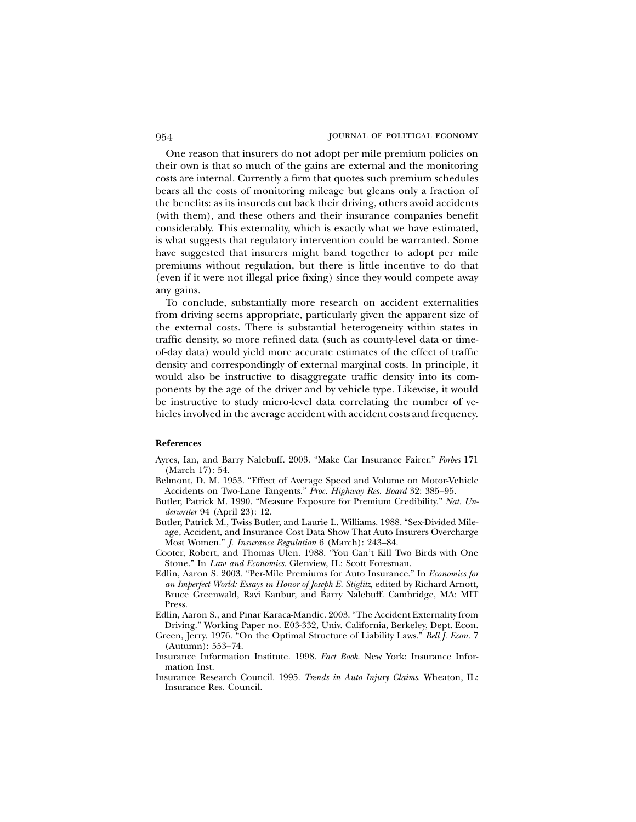One reason that insurers do not adopt per mile premium policies on their own is that so much of the gains are external and the monitoring costs are internal. Currently a firm that quotes such premium schedules bears all the costs of monitoring mileage but gleans only a fraction of the benefits: as its insureds cut back their driving, others avoid accidents (with them), and these others and their insurance companies benefit considerably. This externality, which is exactly what we have estimated, is what suggests that regulatory intervention could be warranted. Some have suggested that insurers might band together to adopt per mile premiums without regulation, but there is little incentive to do that (even if it were not illegal price fixing) since they would compete away any gains.

To conclude, substantially more research on accident externalities from driving seems appropriate, particularly given the apparent size of the external costs. There is substantial heterogeneity within states in traffic density, so more refined data (such as county-level data or timeof-day data) would yield more accurate estimates of the effect of traffic density and correspondingly of external marginal costs. In principle, it would also be instructive to disaggregate traffic density into its components by the age of the driver and by vehicle type. Likewise, it would be instructive to study micro-level data correlating the number of vehicles involved in the average accident with accident costs and frequency.

### **References**

- Ayres, Ian, and Barry Nalebuff. 2003. "Make Car Insurance Fairer." *Forbes* 171 (March 17): 54.
- Belmont, D. M. 1953. "Effect of Average Speed and Volume on Motor-Vehicle Accidents on Two-Lane Tangents." *Proc. Highway Res. Board* 32: 385–95.
- Butler, Patrick M. 1990. "Measure Exposure for Premium Credibility." *Nat. Underwriter* 94 (April 23): 12.
- Butler, Patrick M., Twiss Butler, and Laurie L. Williams. 1988. "Sex-Divided Mileage, Accident, and Insurance Cost Data Show That Auto Insurers Overcharge Most Women." *J. Insurance Regulation* 6 (March): 243–84.
- Cooter, Robert, and Thomas Ulen. 1988. "You Can't Kill Two Birds with One Stone." In *Law and Economics*. Glenview, IL: Scott Foresman.
- Edlin, Aaron S. 2003. "Per-Mile Premiums for Auto Insurance." In *Economics for an Imperfect World: Essays in Honor of Joseph E. Stiglitz*, edited by Richard Arnott, Bruce Greenwald, Ravi Kanbur, and Barry Nalebuff. Cambridge, MA: MIT Press.
- Edlin, Aaron S., and Pinar Karaca-Mandic. 2003. "The Accident Externality from Driving." Working Paper no. E03-332, Univ. California, Berkeley, Dept. Econ.
- Green, Jerry. 1976. "On the Optimal Structure of Liability Laws." *Bell J. Econ.* 7 (Autumn): 553–74.
- Insurance Information Institute. 1998. *Fact Book*. New York: Insurance Information Inst.
- Insurance Research Council. 1995. *Trends in Auto Injury Claims*. Wheaton, IL: Insurance Res. Council.